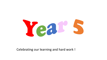

## Celebrating our learning and hard work !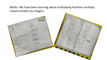Maths: We have been learning about multiplying fractions-multiply mixed numbers by integers.

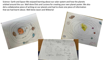Science- Earth and Space-We enjoyed learning about our solar system and how the planets orbited around the sun. Well done Elvis and Luciana for creating your own planet poster. We also did a collaborative piece of writing on our planets and had to share one piece of information that we had learnt about. Well done Jason and Wiktoria!

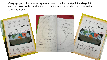Geography-Another interesting lesson, learning all about 4 point and 8 point compass. We also learnt the lines of Longitude and Latitude. Well done Stella, Max and Jason.

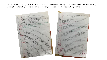. Literacy – Summarising a text. Massive effort and improvement from Ephiram and Muyiwa. Well done boys, your writing had all the key events and omitted out any un-necessary information. Keep up the hard work!

| Wirnesday Us March 2022                                                                                                                                                                                                                                                                                                                    |
|--------------------------------------------------------------------------------------------------------------------------------------------------------------------------------------------------------------------------------------------------------------------------------------------------------------------------------------------|
| Glinted To shing-with small flashes of lights                                                                                                                                                                                                                                                                                              |
| 8 Midged - To pope someone gently with your shoulder                                                                                                                                                                                                                                                                                       |
|                                                                                                                                                                                                                                                                                                                                            |
| 3. Shouldly - Sudden and unexpected                                                                                                                                                                                                                                                                                                        |
|                                                                                                                                                                                                                                                                                                                                            |
| Like of Rammed-To photo and thing have against exchature<br>folke E. Snooty - wh Something very urpleasent                                                                                                                                                                                                                                 |
|                                                                                                                                                                                                                                                                                                                                            |
| Henry D. Pinagono - An elegant school dust                                                                                                                                                                                                                                                                                                 |
| p 12.5                                                                                                                                                                                                                                                                                                                                     |
|                                                                                                                                                                                                                                                                                                                                            |
| Successinateria                                                                                                                                                                                                                                                                                                                            |
| 04<br>Williams                                                                                                                                                                                                                                                                                                                             |
|                                                                                                                                                                                                                                                                                                                                            |
| Millenline Adjectives<br>Figuretive Speech<br>Kessel                                                                                                                                                                                                                                                                                       |
| refer to beck<br><b>Ween</b>                                                                                                                                                                                                                                                                                                               |
| hortsereences                                                                                                                                                                                                                                                                                                                              |
| Long subscript impact                                                                                                                                                                                                                                                                                                                      |
| like blowed it is a your lody Cabout 12 12 years and who was<br>tomate in the middle-class, somfortable house hold.<br>André her parents work exercicly hard to afford requirements                                                                                                                                                        |
|                                                                                                                                                                                                                                                                                                                                            |
|                                                                                                                                                                                                                                                                                                                                            |
| for her. (2) is sough strengtons can enough money so upper<br>exchatter). In chapter 1. Led was going through a<br>Mary Haper and found out there blues was human feet                                                                                                                                                                     |
| Roundstin the Bloompury house and mouldn't isk go until<br>Ste intertigued the your bannel the missing gear.                                                                                                                                                                                                                               |
|                                                                                                                                                                                                                                                                                                                                            |
|                                                                                                                                                                                                                                                                                                                                            |
|                                                                                                                                                                                                                                                                                                                                            |
|                                                                                                                                                                                                                                                                                                                                            |
| Which Dre Godinny day, but sound a partiet laying still on her.<br>One Humil The Godinner's domain search by his friend, frequencies salies<br>Pour Huving Harawatic was nad importantly passed away. She opered to<br>recrease be the localized with decreative spin Sphi<br>Annihaming Circums Anallis pre Cod of the Underworld, it was |
|                                                                                                                                                                                                                                                                                                                                            |
|                                                                                                                                                                                                                                                                                                                                            |

|                         | Wedreiday 9th March 2022<br>to summerse key Events of the Book so ful?                                                                        |
|-------------------------|-----------------------------------------------------------------------------------------------------------------------------------------------|
|                         |                                                                                                                                               |
|                         |                                                                                                                                               |
|                         | gested = TO Stud with small slastes of light                                                                                                  |
|                         | sorty: Houghts and contemporary                                                                                                               |
|                         | uded : prit Sombodly Hith your clbour.                                                                                                        |
|                         | more pulse and the areas The                                                                                                                  |
|                         |                                                                                                                                               |
|                         | Burghetha Book is the year old give named bit's advanture. He took-<br>Burghetha Book is the year old give named bit's advanture. He took-    |
|                         |                                                                                                                                               |
|                         |                                                                                                                                               |
|                         |                                                                                                                                               |
|                         |                                                                                                                                               |
|                         | Aust is geory a point and there are family and the dad made we to                                                                             |
|                         |                                                                                                                                               |
|                         | schients thople are sto this is the or a ungaper has no more store<br>forgetive bee search reading more to your to her Grand fullers workship |
|                         |                                                                                                                                               |
|                         | and gives a living microsoft which will also executed                                                                                         |
|                         |                                                                                                                                               |
|                         | it out she is called to have some transice newsitive cread-                                                                                   |
|                         | daller hos a diencent cabled Marginia.                                                                                                        |
|                         | U.S. She stops school so security we are salter hear                                                                                          |
|                         | they to send more about the package from it.                                                                                                  |
| Wille .                 | weight as                                                                                                                                     |
| Chero                   |                                                                                                                                               |
| Win 4                   |                                                                                                                                               |
| ou empire               | Capital Letters at the start of Scatchere                                                                                                     |
| sterelade."             |                                                                                                                                               |
| <b>The followed</b>     | swell store at the end of seateness<br>an servere                                                                                             |
|                         | Parade upor                                                                                                                                   |
| <i>Advance Cord and</i> |                                                                                                                                               |
| here will national      | scleede boy celase                                                                                                                            |
| uselle 1 and            | include extra insernation is                                                                                                                  |
| inhave a very well -    | <b>Neder</b><br>China                                                                                                                         |
| Juli Hore!              | About Lit                                                                                                                                     |
|                         | Luikat                                                                                                                                        |
|                         | Prentiction have                                                                                                                              |
|                         | efter West ? Dags                                                                                                                             |
|                         |                                                                                                                                               |
|                         |                                                                                                                                               |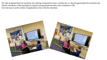R.E: We all agreed that our sacrifices are nothing compared to Jesus' sacrifice for us. We all appreciated the sacrifices the L'Arche volunteers make everyday to support young people become more confident in life. Our task was to write a letter of application to be a L'Arche volunteer.

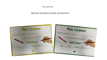Pen permits

Well done Demilade and Stella, well deserved !